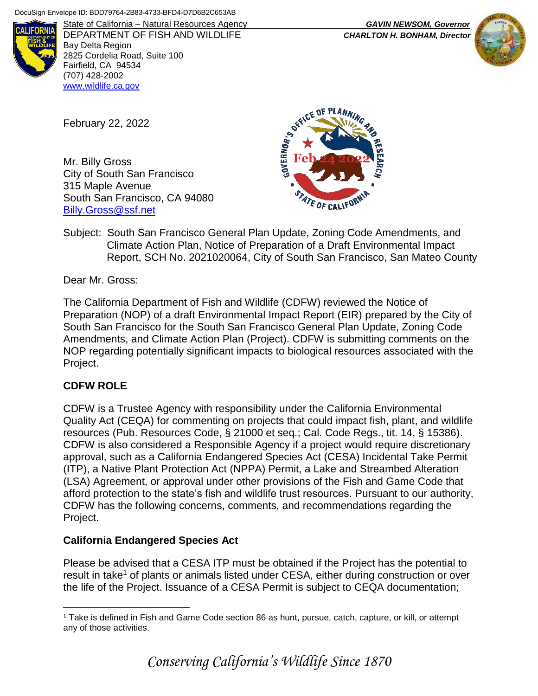

DEPARTMENT OF FISH AND WILDLIFE *CHARLTON H. BONHAM, Director* Bay Delta Region 2825 Cordelia Road, Suite 100 Fairfield, CA 94534 (707) 428-2002 [www.wildlife.ca.gov](https://wildlife.ca.gov/)

February 22, 2022

Mr. Billy Gross City of South San Francisco 315 Maple Avenue South San Francisco, CA 94080 [Billy.Gross@ssf.net](mailto:Billy.Gross@ssf.net)



Subject: South San Francisco General Plan Update, Zoning Code Amendments, and Climate Action Plan, Notice of Preparation of a Draft Environmental Impact Report, SCH No. 2021020064, City of South San Francisco, San Mateo County

Dear Mr. Gross:

The California Department of Fish and Wildlife (CDFW) reviewed the Notice of Preparation (NOP) of a draft Environmental Impact Report (EIR) prepared by the City of South San Francisco for the South San Francisco General Plan Update, Zoning Code Amendments, and Climate Action Plan (Project). CDFW is submitting comments on the NOP regarding potentially significant impacts to biological resources associated with the Project.

### **CDFW ROLE**

 $\overline{a}$ 

CDFW is a Trustee Agency with responsibility under the California Environmental Quality Act (CEQA) for commenting on projects that could impact fish, plant, and wildlife resources (Pub. Resources Code, § 21000 et seq.; Cal. Code Regs., tit. 14, § 15386). CDFW is also considered a Responsible Agency if a project would require discretionary approval, such as a California Endangered Species Act (CESA) Incidental Take Permit (ITP), a Native Plant Protection Act (NPPA) Permit, a Lake and Streambed Alteration (LSA) Agreement, or approval under other provisions of the Fish and Game Code that afford protection to the state's fish and wildlife trust resources. Pursuant to our authority, CDFW has the following concerns, comments, and recommendations regarding the Project.

### **California Endangered Species Act**

Please be advised that a CESA ITP must be obtained if the Project has the potential to result in take<sup>1</sup> of plants or animals listed under CESA, either during construction or over the life of the Project. Issuance of a CESA Permit is subject to CEQA documentation;

State of California – Natural Resources Agency *GAVIN NEWSOM, Governor*



<sup>1</sup> Take is defined in Fish and Game Code section 86 as hunt, pursue, catch, capture, or kill, or attempt any of those activities.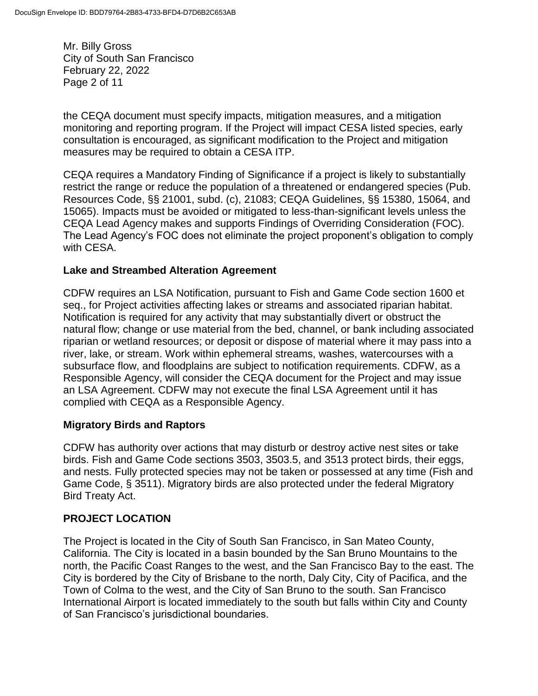Mr. Billy Gross City of South San Francisco February 22, 2022 Page 2 of 11

the CEQA document must specify impacts, mitigation measures, and a mitigation monitoring and reporting program. If the Project will impact CESA listed species, early consultation is encouraged, as significant modification to the Project and mitigation measures may be required to obtain a CESA ITP.

CEQA requires a Mandatory Finding of Significance if a project is likely to substantially restrict the range or reduce the population of a threatened or endangered species (Pub. Resources Code, §§ 21001, subd. (c), 21083; CEQA Guidelines, §§ 15380, 15064, and 15065). Impacts must be avoided or mitigated to less-than-significant levels unless the CEQA Lead Agency makes and supports Findings of Overriding Consideration (FOC). The Lead Agency's FOC does not eliminate the project proponent's obligation to comply with CESA.

### **Lake and Streambed Alteration Agreement**

CDFW requires an LSA Notification, pursuant to Fish and Game Code section 1600 et seq., for Project activities affecting lakes or streams and associated riparian habitat. Notification is required for any activity that may substantially divert or obstruct the natural flow; change or use material from the bed, channel, or bank including associated riparian or wetland resources; or deposit or dispose of material where it may pass into a river, lake, or stream. Work within ephemeral streams, washes, watercourses with a subsurface flow, and floodplains are subject to notification requirements. CDFW, as a Responsible Agency, will consider the CEQA document for the Project and may issue an LSA Agreement. CDFW may not execute the final LSA Agreement until it has complied with CEQA as a Responsible Agency.

### **Migratory Birds and Raptors**

CDFW has authority over actions that may disturb or destroy active nest sites or take birds. Fish and Game Code sections 3503, 3503.5, and 3513 protect birds, their eggs, and nests. Fully protected species may not be taken or possessed at any time (Fish and Game Code, § 3511). Migratory birds are also protected under the federal Migratory Bird Treaty Act.

### **PROJECT LOCATION**

The Project is located in the City of South San Francisco, in San Mateo County, California. The City is located in a basin bounded by the San Bruno Mountains to the north, the Pacific Coast Ranges to the west, and the San Francisco Bay to the east. The City is bordered by the City of Brisbane to the north, Daly City, City of Pacifica, and the Town of Colma to the west, and the City of San Bruno to the south. San Francisco International Airport is located immediately to the south but falls within City and County of San Francisco's jurisdictional boundaries.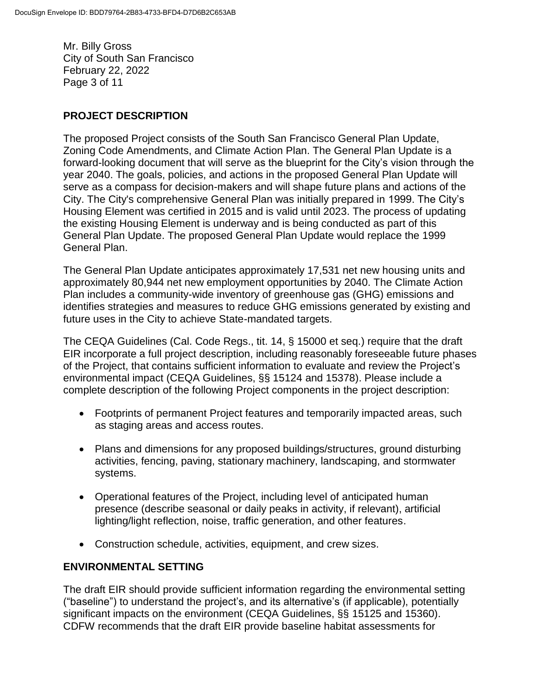Mr. Billy Gross City of South San Francisco February 22, 2022 Page 3 of 11

## **PROJECT DESCRIPTION**

The proposed Project consists of the South San Francisco General Plan Update, Zoning Code Amendments, and Climate Action Plan. The General Plan Update is a forward-looking document that will serve as the blueprint for the City's vision through the year 2040. The goals, policies, and actions in the proposed General Plan Update will serve as a compass for decision-makers and will shape future plans and actions of the City. The City's comprehensive General Plan was initially prepared in 1999. The City's Housing Element was certified in 2015 and is valid until 2023. The process of updating the existing Housing Element is underway and is being conducted as part of this General Plan Update. The proposed General Plan Update would replace the 1999 General Plan.

The General Plan Update anticipates approximately 17,531 net new housing units and approximately 80,944 net new employment opportunities by 2040. The Climate Action Plan includes a community-wide inventory of greenhouse gas (GHG) emissions and identifies strategies and measures to reduce GHG emissions generated by existing and future uses in the City to achieve State-mandated targets.

The CEQA Guidelines (Cal. Code Regs., tit. 14, § 15000 et seq.) require that the draft EIR incorporate a full project description, including reasonably foreseeable future phases of the Project, that contains sufficient information to evaluate and review the Project's environmental impact (CEQA Guidelines, §§ 15124 and 15378). Please include a complete description of the following Project components in the project description:

- Footprints of permanent Project features and temporarily impacted areas, such as staging areas and access routes.
- Plans and dimensions for any proposed buildings/structures, ground disturbing activities, fencing, paving, stationary machinery, landscaping, and stormwater systems.
- Operational features of the Project, including level of anticipated human presence (describe seasonal or daily peaks in activity, if relevant), artificial lighting/light reflection, noise, traffic generation, and other features.
- Construction schedule, activities, equipment, and crew sizes.

### **ENVIRONMENTAL SETTING**

The draft EIR should provide sufficient information regarding the environmental setting ("baseline") to understand the project's, and its alternative's (if applicable), potentially significant impacts on the environment (CEQA Guidelines, §§ 15125 and 15360). CDFW recommends that the draft EIR provide baseline habitat assessments for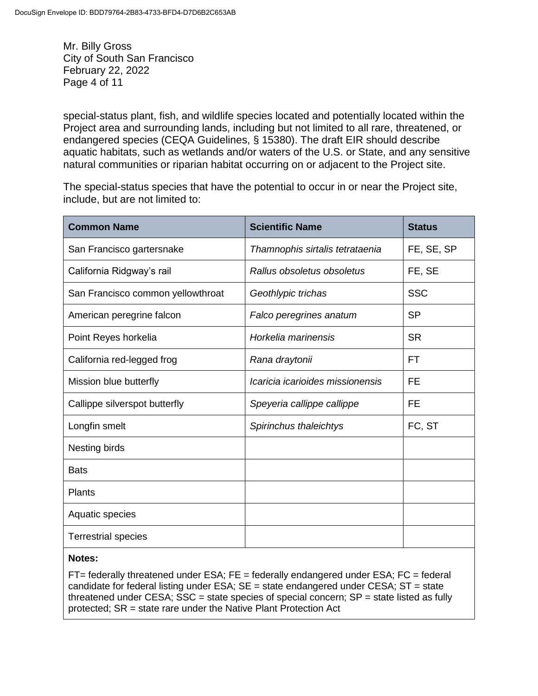Mr. Billy Gross City of South San Francisco February 22, 2022 Page 4 of 11

special-status plant, fish, and wildlife species located and potentially located within the Project area and surrounding lands, including but not limited to all rare, threatened, or endangered species (CEQA Guidelines, § 15380). The draft EIR should describe aquatic habitats, such as wetlands and/or waters of the U.S. or State, and any sensitive natural communities or riparian habitat occurring on or adjacent to the Project site.

The special-status species that have the potential to occur in or near the Project site, include, but are not limited to:

| <b>Common Name</b>                | <b>Scientific Name</b>           | <b>Status</b> |
|-----------------------------------|----------------------------------|---------------|
| San Francisco gartersnake         | Thamnophis sirtalis tetrataenia  | FE, SE, SP    |
| California Ridgway's rail         | Rallus obsoletus obsoletus       | FE, SE        |
| San Francisco common yellowthroat | Geothlypic trichas               | <b>SSC</b>    |
| American peregrine falcon         | Falco peregrines anatum          | <b>SP</b>     |
| Point Reyes horkelia              | Horkelia marinensis              | <b>SR</b>     |
| California red-legged frog        | Rana draytonii                   | FТ            |
| Mission blue butterfly            | Icaricia icarioides missionensis | FE            |
| Callippe silverspot butterfly     | Speyeria callippe callippe       | <b>FE</b>     |
| Longfin smelt                     | Spirinchus thaleichtys           | FC, ST        |
| Nesting birds                     |                                  |               |
| <b>Bats</b>                       |                                  |               |
| Plants                            |                                  |               |
| Aquatic species                   |                                  |               |
| <b>Terrestrial species</b>        |                                  |               |

#### **Notes:**

 $FT =$  federally threatened under ESA;  $FE =$  federally endangered under ESA;  $FC =$  federal candidate for federal listing under  $ESA$ ;  $SE = state$  endangered under  $CESA$ ;  $ST = state$ threatened under CESA;  $SSC =$  state species of special concern;  $SP =$  state listed as fully protected; SR = state rare under the Native Plant Protection Act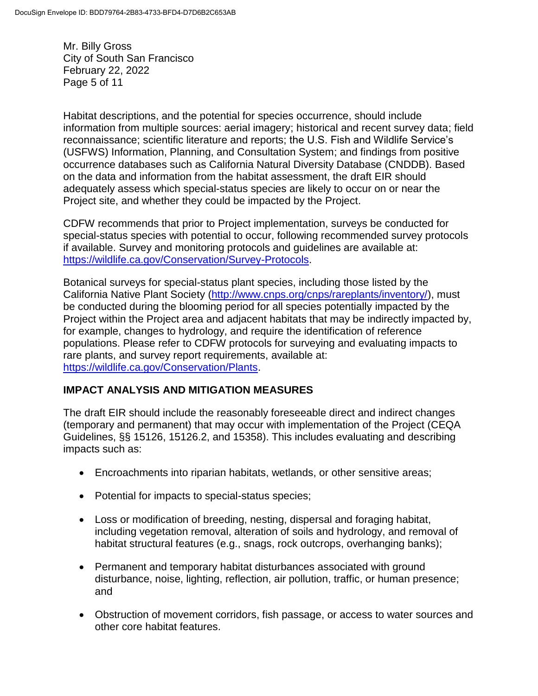Mr. Billy Gross City of South San Francisco February 22, 2022 Page 5 of 11

Habitat descriptions, and the potential for species occurrence, should include information from multiple sources: aerial imagery; historical and recent survey data; field reconnaissance; scientific literature and reports; the U.S. Fish and Wildlife Service's (USFWS) Information, Planning, and Consultation System; and findings from positive occurrence databases such as California Natural Diversity Database (CNDDB). Based on the data and information from the habitat assessment, the draft EIR should adequately assess which special-status species are likely to occur on or near the Project site, and whether they could be impacted by the Project.

CDFW recommends that prior to Project implementation, surveys be conducted for special-status species with potential to occur, following recommended survey protocols if available. Survey and monitoring protocols and guidelines are available at: [https://wildlife.ca.gov/Conservation/Survey-Protocols.](https://wildlife.ca.gov/Conservation/Survey-Protocols)

Botanical surveys for special-status plant species, including those listed by the California Native Plant Society [\(http://www.cnps.org/cnps/rareplants/inventory/\)](http://www.cnps.org/cnps/rareplants/inventory/), must be conducted during the blooming period for all species potentially impacted by the Project within the Project area and adjacent habitats that may be indirectly impacted by, for example, changes to hydrology, and require the identification of reference populations. Please refer to CDFW protocols for surveying and evaluating impacts to rare plants, and survey report requirements, available at: [https://wildlife.ca.gov/Conservation/Plants.](https://wildlife.ca.gov/Conservation/Plants)

### **IMPACT ANALYSIS AND MITIGATION MEASURES**

The draft EIR should include the reasonably foreseeable direct and indirect changes (temporary and permanent) that may occur with implementation of the Project (CEQA Guidelines, §§ 15126, 15126.2, and 15358). This includes evaluating and describing impacts such as:

- Encroachments into riparian habitats, wetlands, or other sensitive areas;
- Potential for impacts to special-status species;
- Loss or modification of breeding, nesting, dispersal and foraging habitat, including vegetation removal, alteration of soils and hydrology, and removal of habitat structural features (e.g., snags, rock outcrops, overhanging banks);
- Permanent and temporary habitat disturbances associated with ground disturbance, noise, lighting, reflection, air pollution, traffic, or human presence; and
- Obstruction of movement corridors, fish passage, or access to water sources and other core habitat features.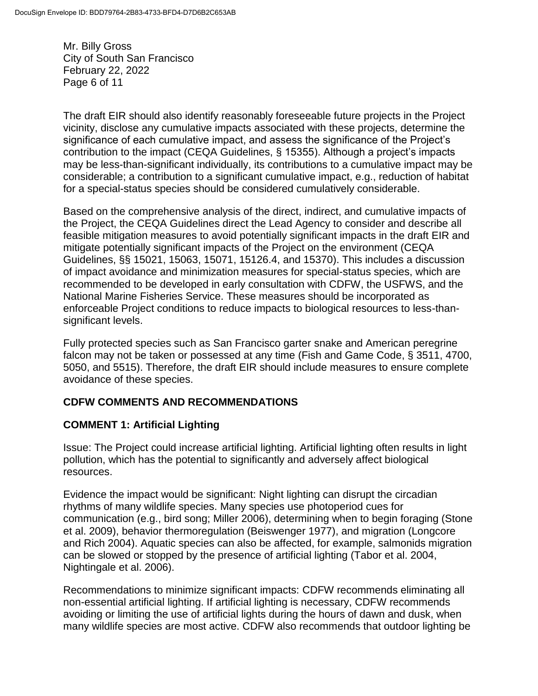Mr. Billy Gross City of South San Francisco February 22, 2022 Page 6 of 11

The draft EIR should also identify reasonably foreseeable future projects in the Project vicinity, disclose any cumulative impacts associated with these projects, determine the significance of each cumulative impact, and assess the significance of the Project's contribution to the impact (CEQA Guidelines, § 15355). Although a project's impacts may be less-than-significant individually, its contributions to a cumulative impact may be considerable; a contribution to a significant cumulative impact, e.g., reduction of habitat for a special-status species should be considered cumulatively considerable.

Based on the comprehensive analysis of the direct, indirect, and cumulative impacts of the Project, the CEQA Guidelines direct the Lead Agency to consider and describe all feasible mitigation measures to avoid potentially significant impacts in the draft EIR and mitigate potentially significant impacts of the Project on the environment (CEQA Guidelines, §§ 15021, 15063, 15071, 15126.4, and 15370). This includes a discussion of impact avoidance and minimization measures for special-status species, which are recommended to be developed in early consultation with CDFW, the USFWS, and the National Marine Fisheries Service. These measures should be incorporated as enforceable Project conditions to reduce impacts to biological resources to less-thansignificant levels.

Fully protected species such as San Francisco garter snake and American peregrine falcon may not be taken or possessed at any time (Fish and Game Code, § 3511, 4700, 5050, and 5515). Therefore, the draft EIR should include measures to ensure complete avoidance of these species.

# **CDFW COMMENTS AND RECOMMENDATIONS**

# **COMMENT 1: Artificial Lighting**

Issue: The Project could increase artificial lighting. Artificial lighting often results in light pollution, which has the potential to significantly and adversely affect biological resources.

Evidence the impact would be significant: Night lighting can disrupt the circadian rhythms of many wildlife species. Many species use photoperiod cues for communication (e.g., bird song; Miller 2006), determining when to begin foraging (Stone et al. 2009), behavior thermoregulation (Beiswenger 1977), and migration (Longcore and Rich 2004). Aquatic species can also be affected, for example, salmonids migration can be slowed or stopped by the presence of artificial lighting (Tabor et al. 2004, Nightingale et al. 2006).

Recommendations to minimize significant impacts: CDFW recommends eliminating all non-essential artificial lighting. If artificial lighting is necessary, CDFW recommends avoiding or limiting the use of artificial lights during the hours of dawn and dusk, when many wildlife species are most active. CDFW also recommends that outdoor lighting be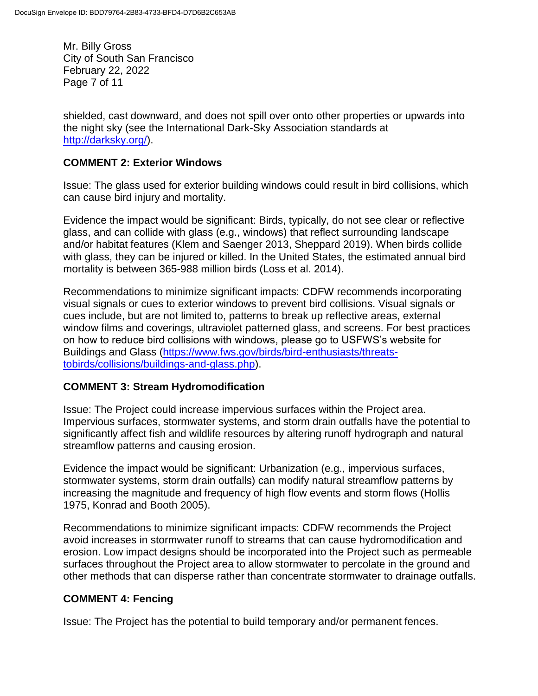Mr. Billy Gross City of South San Francisco February 22, 2022 Page 7 of 11

shielded, cast downward, and does not spill over onto other properties or upwards into the night sky (see the International Dark-Sky Association standards at [http://darksky.org/\)](http://darksky.org/).

### **COMMENT 2: Exterior Windows**

Issue: The glass used for exterior building windows could result in bird collisions, which can cause bird injury and mortality.

Evidence the impact would be significant: Birds, typically, do not see clear or reflective glass, and can collide with glass (e.g., windows) that reflect surrounding landscape and/or habitat features (Klem and Saenger 2013, Sheppard 2019). When birds collide with glass, they can be injured or killed. In the United States, the estimated annual bird mortality is between 365-988 million birds (Loss et al. 2014).

Recommendations to minimize significant impacts: CDFW recommends incorporating visual signals or cues to exterior windows to prevent bird collisions. Visual signals or cues include, but are not limited to, patterns to break up reflective areas, external window films and coverings, ultraviolet patterned glass, and screens. For best practices on how to reduce bird collisions with windows, please go to USFWS's website for Buildings and Glass [\(https://www.fws.gov/birds/bird-enthusiasts/threats](https://www.fws.gov/birds/bird-enthusiasts/threats-tobirds/collisions/buildings-and-glass.php)[tobirds/collisions/buildings-and-glass.php\)](https://www.fws.gov/birds/bird-enthusiasts/threats-tobirds/collisions/buildings-and-glass.php).

#### **COMMENT 3: Stream Hydromodification**

Issue: The Project could increase impervious surfaces within the Project area. Impervious surfaces, stormwater systems, and storm drain outfalls have the potential to significantly affect fish and wildlife resources by altering runoff hydrograph and natural streamflow patterns and causing erosion.

Evidence the impact would be significant: Urbanization (e.g., impervious surfaces, stormwater systems, storm drain outfalls) can modify natural streamflow patterns by increasing the magnitude and frequency of high flow events and storm flows (Hollis 1975, Konrad and Booth 2005).

Recommendations to minimize significant impacts: CDFW recommends the Project avoid increases in stormwater runoff to streams that can cause hydromodification and erosion. Low impact designs should be incorporated into the Project such as permeable surfaces throughout the Project area to allow stormwater to percolate in the ground and other methods that can disperse rather than concentrate stormwater to drainage outfalls.

### **COMMENT 4: Fencing**

Issue: The Project has the potential to build temporary and/or permanent fences.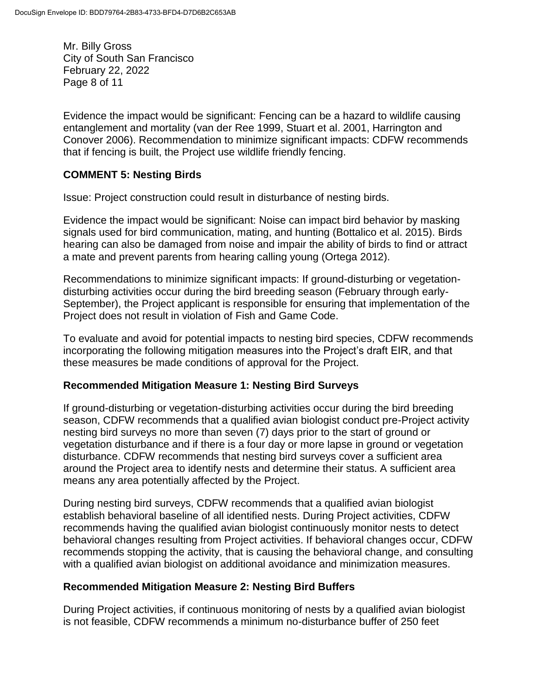Mr. Billy Gross City of South San Francisco February 22, 2022 Page 8 of 11

Evidence the impact would be significant: Fencing can be a hazard to wildlife causing entanglement and mortality (van der Ree 1999, Stuart et al. 2001, Harrington and Conover 2006). Recommendation to minimize significant impacts: CDFW recommends that if fencing is built, the Project use wildlife friendly fencing.

### **COMMENT 5: Nesting Birds**

Issue: Project construction could result in disturbance of nesting birds.

Evidence the impact would be significant: Noise can impact bird behavior by masking signals used for bird communication, mating, and hunting (Bottalico et al. 2015). Birds hearing can also be damaged from noise and impair the ability of birds to find or attract a mate and prevent parents from hearing calling young (Ortega 2012).

Recommendations to minimize significant impacts: If ground-disturbing or vegetationdisturbing activities occur during the bird breeding season (February through early-September), the Project applicant is responsible for ensuring that implementation of the Project does not result in violation of Fish and Game Code.

To evaluate and avoid for potential impacts to nesting bird species, CDFW recommends incorporating the following mitigation measures into the Project's draft EIR, and that these measures be made conditions of approval for the Project.

### **Recommended Mitigation Measure 1: Nesting Bird Surveys**

If ground-disturbing or vegetation-disturbing activities occur during the bird breeding season, CDFW recommends that a qualified avian biologist conduct pre-Project activity nesting bird surveys no more than seven (7) days prior to the start of ground or vegetation disturbance and if there is a four day or more lapse in ground or vegetation disturbance. CDFW recommends that nesting bird surveys cover a sufficient area around the Project area to identify nests and determine their status. A sufficient area means any area potentially affected by the Project.

During nesting bird surveys, CDFW recommends that a qualified avian biologist establish behavioral baseline of all identified nests. During Project activities, CDFW recommends having the qualified avian biologist continuously monitor nests to detect behavioral changes resulting from Project activities. If behavioral changes occur, CDFW recommends stopping the activity, that is causing the behavioral change, and consulting with a qualified avian biologist on additional avoidance and minimization measures.

### **Recommended Mitigation Measure 2: Nesting Bird Buffers**

During Project activities, if continuous monitoring of nests by a qualified avian biologist is not feasible, CDFW recommends a minimum no-disturbance buffer of 250 feet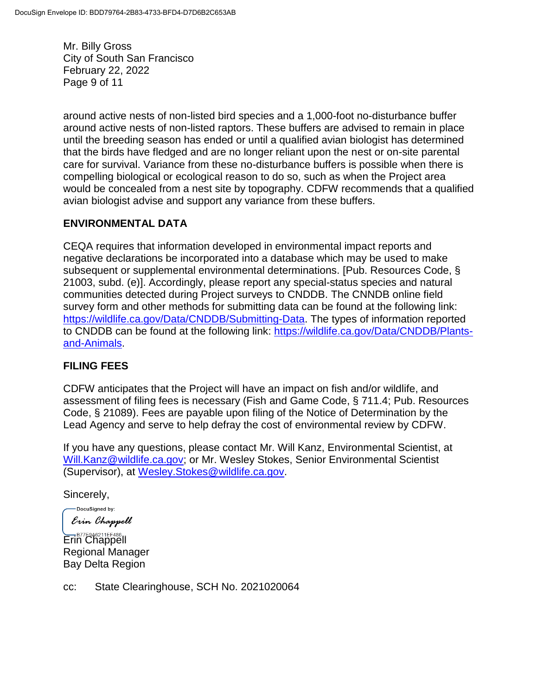Mr. Billy Gross City of South San Francisco February 22, 2022 Page 9 of 11

around active nests of non-listed bird species and a 1,000-foot no-disturbance buffer around active nests of non-listed raptors. These buffers are advised to remain in place until the breeding season has ended or until a qualified avian biologist has determined that the birds have fledged and are no longer reliant upon the nest or on-site parental care for survival. Variance from these no-disturbance buffers is possible when there is compelling biological or ecological reason to do so, such as when the Project area would be concealed from a nest site by topography. CDFW recommends that a qualified avian biologist advise and support any variance from these buffers.

## **ENVIRONMENTAL DATA**

CEQA requires that information developed in environmental impact reports and negative declarations be incorporated into a database which may be used to make subsequent or supplemental environmental determinations. [Pub. Resources Code, § 21003, subd. (e)]. Accordingly, please report any special-status species and natural communities detected during Project surveys to CNDDB. The CNNDB online field survey form and other methods for submitting data can be found at the following link: [https://wildlife.ca.gov/Data/CNDDB/Submitting-Data.](https://wildlife.ca.gov/Data/CNDDB/Submitting-Data) The types of information reported to CNDDB can be found at the following link: [https://wildlife.ca.gov/Data/CNDDB/Plants](https://wildlife.ca.gov/Data/CNDDB/Plants-and-Animals)[and-Animals.](https://wildlife.ca.gov/Data/CNDDB/Plants-and-Animals)

### **FILING FEES**

CDFW anticipates that the Project will have an impact on fish and/or wildlife, and assessment of filing fees is necessary (Fish and Game Code, § 711.4; Pub. Resources Code, § 21089). Fees are payable upon filing of the Notice of Determination by the Lead Agency and serve to help defray the cost of environmental review by CDFW.

If you have any questions, please contact Mr. Will Kanz, Environmental Scientist, at [Will.Kanz@wildlife.ca.gov;](mailto:Will.Kanz@wildlife.ca.gov) or Mr. Wesley Stokes, Senior Environmental Scientist (Supervisor), at [Wesley.Stokes@wildlife.ca.gov.](mailto:Wesley.Stokes@wildlife.ca.gov)

Sincerely,

-DocuSigned by: Erin Chappell

Erin Chappell Regional Manager Bay Delta Region

cc: State Clearinghouse, SCH No. 2021020064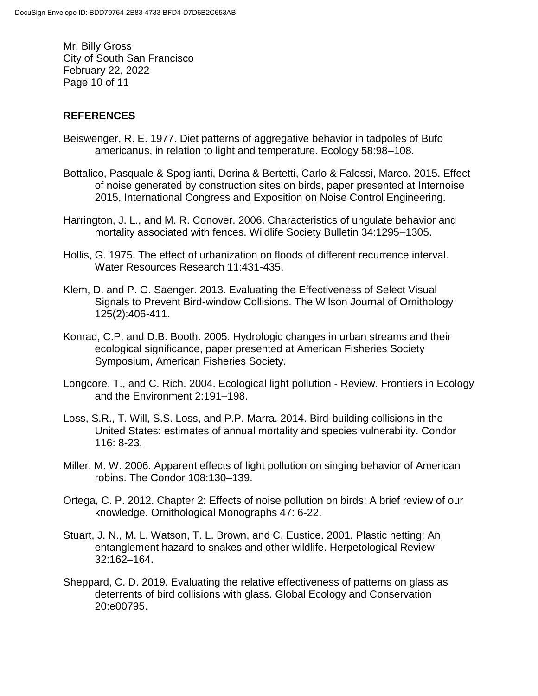Mr. Billy Gross City of South San Francisco February 22, 2022 Page 10 of 11

### **REFERENCES**

- Beiswenger, R. E. 1977. Diet patterns of aggregative behavior in tadpoles of Bufo americanus, in relation to light and temperature. Ecology 58:98–108.
- Bottalico, Pasquale & Spoglianti, Dorina & Bertetti, Carlo & Falossi, Marco. 2015. Effect of noise generated by construction sites on birds, paper presented at Internoise 2015, International Congress and Exposition on Noise Control Engineering.
- Harrington, J. L., and M. R. Conover. 2006. Characteristics of ungulate behavior and mortality associated with fences. Wildlife Society Bulletin 34:1295–1305.
- Hollis, G. 1975. The effect of urbanization on floods of different recurrence interval. Water Resources Research 11:431-435.
- Klem, D. and P. G. Saenger. 2013. Evaluating the Effectiveness of Select Visual Signals to Prevent Bird-window Collisions. The Wilson Journal of Ornithology 125(2):406-411.
- Konrad, C.P. and D.B. Booth. 2005. Hydrologic changes in urban streams and their ecological significance, paper presented at American Fisheries Society Symposium, American Fisheries Society.
- Longcore, T., and C. Rich. 2004. Ecological light pollution Review. Frontiers in Ecology and the Environment 2:191–198.
- Loss, S.R., T. Will, S.S. Loss, and P.P. Marra. 2014. Bird-building collisions in the United States: estimates of annual mortality and species vulnerability. Condor 116: 8-23.
- Miller, M. W. 2006. Apparent effects of light pollution on singing behavior of American robins. The Condor 108:130–139.
- Ortega, C. P. 2012. Chapter 2: Effects of noise pollution on birds: A brief review of our knowledge. Ornithological Monographs 47: 6-22.
- Stuart, J. N., M. L. Watson, T. L. Brown, and C. Eustice. 2001. Plastic netting: An entanglement hazard to snakes and other wildlife. Herpetological Review 32:162–164.
- Sheppard, C. D. 2019. Evaluating the relative effectiveness of patterns on glass as deterrents of bird collisions with glass. Global Ecology and Conservation 20:e00795.